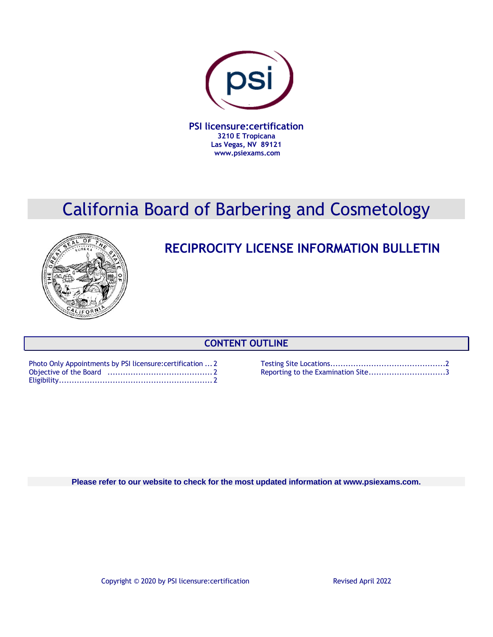

# California Board of Barbering and Cosmetology



## **RECIPROCITY LICENSE INFORMATION BULLETIN**

## **CONTENT OUTLINE**

| Photo Only Appointments by PSI licensure: certification  2 |  |
|------------------------------------------------------------|--|
|                                                            |  |
|                                                            |  |

Testing Site Locations.............................................2 Reporting to the Examination Site.................................3

**Please refer to our website to check for the most updated information at www.psiexams.com.**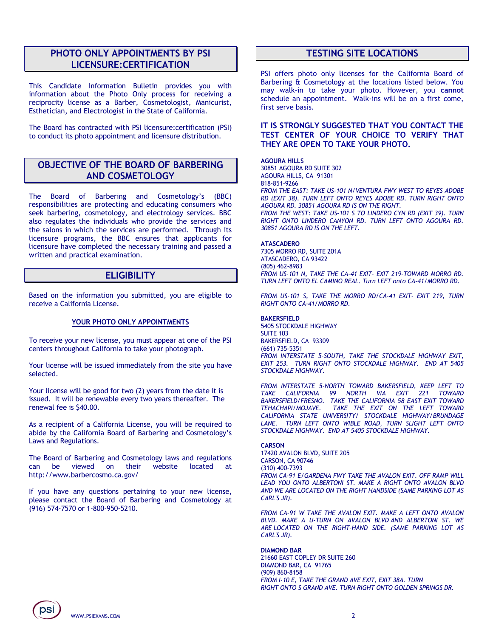## **PHOTO ONLY APPOINTMENTS BY PSI LICENSURE:CERTIFICATION**

This Candidate Information Bulletin provides you with information about the Photo Only process for receiving a reciprocity license as a Barber, Cosmetologist, Manicurist, Esthetician, and Electrologist in the State of California.

The Board has contracted with PSI licensure:certification (PSI) to conduct its photo appointment and licensure distribution.

## **OBJECTIVE OF THE BOARD OF BARBERING AND COSMETOLOGY**

The Board of Barbering and Cosmetology's (BBC) responsibilities are protecting and educating consumers who seek barbering, cosmetology, and electrology services. BBC also regulates the individuals who provide the services and the salons in which the services are performed. Through its licensure programs, the BBC ensures that applicants for licensure have completed the necessary training and passed a written and practical examination.

## **ELIGIBILITY**

Based on the information you submitted, you are eligible to receive a California License.

#### **YOUR PHOTO ONLY APPOINTMENTS**

To receive your new license, you must appear at one of the PSI centers throughout California to take your photograph.

Your license will be issued immediately from the site you have selected.

Your license will be good for two (2) years from the date it is issued. It will be renewable every two years thereafter. The renewal fee is \$40.00.

As a recipient of a California License, you will be required to abide by the California Board of Barbering and Cosmetology's Laws and Regulations.

The Board of Barbering and Cosmetology laws and regulations can be viewed on their website located at http://www.barbercosmo.ca.gov/

If you have any questions pertaining to your new license, please contact the Board of Barbering and Cosmetology at (916) 574-7570 or 1-800-950-5210.

### **TESTING SITE LOCATIONS**

PSI offers photo only licenses for the California Board of Barbering & Cosmetology at the locations listed below. You may walk-in to take your photo. However, you **cannot** schedule an appointment. Walk-ins will be on a first come, first serve basis.

#### **IT IS STRONGLY SUGGESTED THAT YOU CONTACT THE TEST CENTER OF YOUR CHOICE TO VERIFY THAT THEY ARE OPEN TO TAKE YOUR PHOTO.**

#### **AGOURA HILLS**

30851 AGOURA RD SUITE 302 AGOURA HILLS, CA 91301 818-851-9266 *FROM THE EAST: TAKE US-101 N/VENTURA FWY WEST TO REYES ADOBE RD (EXIT 38). TURN LEFT ONTO REYES ADOBE RD. TURN RIGHT ONTO AGOURA RD. 30851 AGOURA RD IS ON THE RIGHT. FROM THE WEST: TAKE US-101 S TO LINDERO CYN RD (EXIT 39). TURN RIGHT ONTO LINDERO CANYON RD. TURN LEFT ONTO AGOURA RD. 30851 AGOURA RD IS ON THE LEFT.*

#### **ATASCADERO**

7305 MORRO RD, SUITE 201A ATASCADERO, CA 93422 (805) 462-8983 *FROM US-101 N, TAKE THE CA-41 EXIT- EXIT 219-TOWARD MORRO RD. TURN LEFT ONTO EL CAMINO REAL. Turn LEFT onto CA-41/MORRO RD.*

*FROM US-101 S, TAKE THE MORRO RD/CA-41 EXIT- EXIT 219, TURN RIGHT ONTO CA-41/MORRO RD.*

**BAKERSFIELD** 5405 STOCKDALE HIGHWAY SUITE 103 BAKERSFIELD, CA 93309 (661) 735-5351 *FROM INTERSTATE 5-SOUTH, TAKE THE STOCKDALE HIGHWAY EXIT, EXIT 253. TURN RIGHT ONTO STOCKDALE HIGHWAY. END AT 5405 STOCKDALE HIGHWAY.* 

*FROM INTERSTATE 5-NORTH TOWARD BAKERSFIELD, KEEP LEFT TO*  **TAKE CALIFORNIA 99 NORTH VIA EXIT** *BAKERSFIELD/FRESNO. TAKE THE CALIFORNIA 58 EAST EXIT TOWARD TEHACHAPI/MOJAVE. TAKE THE EXIT ON THE LEFT TOWARD CALIFORNIA STATE UNIVERSITY/ STOCKDALE HIGHWAY/BRUNDAGE*  LANE. TURN LEFT ONTO WIBLE ROAD, TURN SLIGHT LEFT ONTO *STOCKDALE HIGHWAY. END AT 5405 STOCKDALE HIGHWAY.*

#### **CARSON**

17420 AVALON BLVD, SUITE 205 CARSON, CA 90746 (310) 400-7393 *FROM CA-91 E/GARDENA FWY TAKE THE AVALON EXIT. OFF RAMP WILL LEAD YOU ONTO ALBERTONI ST. MAKE A RIGHT ONTO AVALON BLVD AND WE ARE LOCATED ON THE RIGHT HANDSIDE (SAME PARKING LOT AS CARL'S JR).*

*FROM CA-91 W TAKE THE AVALON EXIT. MAKE A LEFT ONTO AVALON BLVD. MAKE A U-TURN ON AVALON BLVD AND ALBERTONI ST. WE ARE LOCATED ON THE RIGHT-HAND SIDE. (SAME PARKING LOT AS CARL'S JR).*

#### **DIAMOND BAR**

21660 EAST COPLEY DR SUITE 260 DIAMOND BAR, CA 91765 (909) 860-8158 *FROM I-10 E, TAKE THE GRAND AVE EXIT, EXIT 38A. TURN RIGHT ONTO S GRAND AVE. TURN RIGHT ONTO GOLDEN SPRINGS DR.*

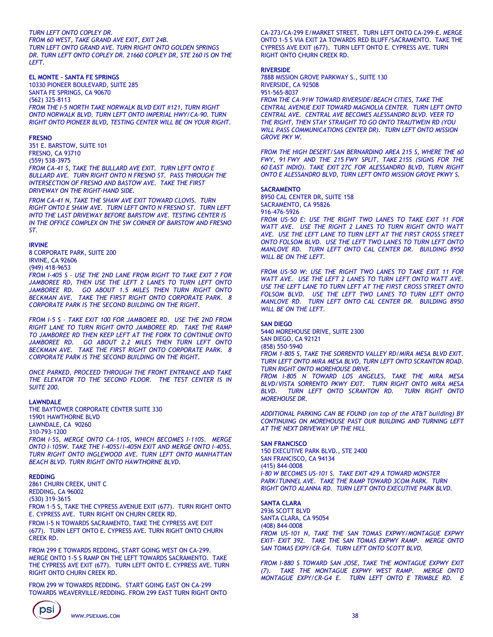#### *TURN LEFT ONTO COPLEY DR. FROM 60 WEST, TAKE GRAND AVE EXIT, EXIT 24B. TURN LEFT ONTO GRAND AVE. TURN RIGHT ONTO GOLDEN SPRINGS DR. TURN LEFT ONTO COPLEY DR. 21660 COPLEY DR, STE 260 IS ON THE LEFT.*

#### **EL MONTE – SANTA FE SPRINGS**

10330 PIONEER BOULEVARD, SUITE 285 SANTA FE SPRINGS, CA 90670 (562) 325-8113 *FROM THE I-5 NORTH TAKE NORWALK BLVD EXIT #121, TURN RIGHT ONTO NORWALK BLVD. TURN LEFT ONTO IMPERIAL HWY/CA-90. TURN RIGHT ONTO PIONEER BLVD, TESTING CENTER WILL BE ON YOUR RIGHT.*

#### **FRESNO**

351 E. BARSTOW, SUITE 101 FRESNO, CA 93710 (559) 538-3975 *FROM CA-41 S, TAKE THE BULLARD AVE EXIT. TURN LEFT ONTO E BULLARD AVE. TURN RIGHT ONTO N FRESNO ST. PASS THROUGH THE INTERSECTION OF FRESNO AND BASTOW AVE. TAKE THE FIRST DRIVEWAY ON THE RIGHT-HAND SIDE.*

*FROM CA-41 N, TAKE THE SHAW AVE EXIT TOWARD CLOVIS. TURN RIGHT ONTO E SHAW AVE. TURN LEFT ONTO N FRESNO ST. TURN LEFT INTO THE LAST DRIVEWAY BEFORE BARSTOW AVE. TESTING CENTER IS IN THE OFFICE COMPLEX ON THE SW CORNER OF BARSTOW AND FRESNO ST.*

#### **IRVINE**

8 CORPORATE PARK, SUITE 200 IRVINE, CA 92606 (949) 418-9653 *FROM I-405 S – USE THE 2ND LANE FROM RIGHT TO TAKE EXIT 7 FOR*  JAMBOREE RD, THEN USE THE LEFT 2 LANES TO TURN LEFT ONTO *JAMBOREE RD. GO ABOUT 1.5 MILES THEN TURN RIGHT ONTO BECKMAN AVE. TAKE THE FIRST RIGHT ONTO CORPORATE PARK. 8 CORPORATE PARK IS THE SECOND BUILDING ON THE RIGHT.* 

*FROM I-5 S – TAKE EXIT 100 FOR JAMBOREE RD. USE THE 2ND FROM RIGHT LANE TO TURN RIGHT ONTO JAMBOREE RD. TAKE THE RAMP TO JAMBOREE RD THEN KEEP LEFT AT THE FORK TO CONTINUE ONTO*  JAMBOREE RD. GO ABOUT 2.2 MILES THEN TURN LEFT ONTO *BECKMAN AVE. TAKE THE FIRST RIGHT ONTO CORPORATE PARK. 8 CORPORATE PARK IS THE SECOND BUILDING ON THE RIGHT.*

*ONCE PARKED, PROCEED THROUGH THE FRONT ENTRANCE AND TAKE THE ELEVATOR TO THE SECOND FLOOR. THE TEST CENTER IS IN SUITE 200.*

#### **LAWNDALE**

THE BAYTOWER CORPORATE CENTER SUITE 330 15901 HAWTHORNE BLVD LAWNDALE, CA 90260 310-793-1200 *FROM I-5S, MERGE ONTO CA-110S, WHICH BECOMES I-110S. MERGE ONTO I-105W. TAKE THE I-405S/I-405N EXIT AND MERGE ONTO I-405S. TURN RIGHT ONTO INGLEWOOD AVE. TURN LEFT ONTO MANHATTAN* 

*BEACH BLVD. TURN RIGHT ONTO HAWTHORNE BLVD.*

## **REDDING**

2861 CHURN CREEK, UNIT C REDDING, CA 96002 (530) 319-3615

FROM 1-5 S, TAKE THE CYPRESS AVENUE EXIT (677). TURN RIGHT ONTO E. CYPRESS AVE. TURN RIGHT ON CHURN CREEK RD.

FROM I-5 N TOWARDS SACRAMENTO, TAKE THE CYPRESS AVE EXIT (677). TURN LEFT ONTO E. CYPRESS AVE. TURN RIGHT ONTO CHURN CREEK RD.

FROM 299 E TOWARDS REDDING, START GOING WEST ON CA-299. MERGE ONTO 1-5 S RAMP ON THE LEFT TOWARDS SACRAMENTO. TAKE THE CYPRESS AVE EXIT (677). TURN LEFT ONTO E. CYPRESS AVE. TURN RIGHT ONTO CHURN CREEK RD.

FROM 299 W TOWARDS REDDING. START GOING EAST ON CA-299 TOWARDS WEAVERVILLE/REDDING. FROM 299 EAST TURN RIGHT ONTO

WWW.PSIEXAMS.COM 38

CA-273/CA-299 E/MARKET STREET. TURN LEFT ONTO CA-299-E. MERGE ONTO 1-5 S VIA EXIT 2A TOWARDS RED BLUFF/SACRAMENTO. TAKE THE CYPRESS AVE EXIT (677). TURN LEFT ONTO E. CYPRESS AVE. TURN RIGHT ONTO CHURN CREEK RD.

#### **RIVERSIDE**

7888 MISSION GROVE PARKWAY S., SUITE 130 RIVERSIDE, CA 92508 951-565-8037 *FROM THE CA-91W TOWARD RIVERSIDE/BEACH CITIES, TAKE THE CENTRAL AVENUE EXIT TOWARD MAGNOLIA CENTER. TURN LEFT ONTO CENTRAL AVE. CENTRAL AVE BECOMES ALESSANDRO BLVD. VEER TO THE RIGHT, THEN STAY STRAIGHT TO GO ONTO TRAUTWEIN RD (YOU WILL PASS COMMUNICATIONS CENTER DR). TURN LEFT ONTO MISSION GROVE PKY W.*

*FROM THE HIGH DESERT/SAN BERNARDINO AREA 215 S, WHERE THE 60 FWY, 91 FWY AND THE 215 FWY SPLIT, TAKE 215S (SIGNS FOR THE 60 EAST INDIO). TAKE EXIT 27C FOR ALESSANDRO BLVD, TURN RIGHT ONTO E ALESSANDRO BLVD, TURN LEFT ONTO MISSION GROVE PKWY S.*

#### **SACRAMENTO**

*WILL BE ON THE LEFT.*

8950 CAL CENTER DR, SUITE 158 SACRAMENTO, CA 95826 916-476-5926 *FROM US-50 E: USE THE RIGHT TWO LANES TO TAKE EXIT 11 FOR WATT AVE. USE THE RIGHT 2 LANES TO TURN RIGHT ONTO WATT AVE. USE THE LEFT LANE TO TURN LEFT AT THE FIRST CROSS STREET ONTO FOLSOM BLVD. USE THE LEFT TWO LANES TO TURN LEFT ONTO MANLOVE RD. TURN LEFT ONTO CAL CENTER DR. BUILDING 8950* 

*FROM US-50 W: USE THE RIGHT TWO LANES TO TAKE EXIT 11 FOR WATT AVE. USE THE LEFT 2 LANES TO TURN LEFT ONTO WATT AVE. USE THE LEFT LANE TO TURN LEFT AT THE FIRST CROSS STREET ONTO FOLSOM BLVD. USE THE LEFT TWO LANES TO TURN LEFT ONTO MANLOVE RD. TURN LEFT ONTO CAL CENTER DR. BUILDING 8950 WILL BE ON THE LEFT.*

#### **SAN DIEGO**

5440 MOREHOUSE DRIVE, SUITE 2300 SAN DIEGO, CA 92121 (858) 550-5940 *FROM 1-805 S, TAKE THE SORRENTO VALLEY RD/MIRA MESA BLVD EXIT. TURN LEFT ONTO MIRA MESA BLVD, TURN LEFT ONTO SCRANTON ROAD. TURN RIGHT ONTO MOREHOUSE DRIVE.*

*FROM I-805 N TOWARD LOS ANGELES, TAKE THE MIRA MESA BLVD/VISTA SORRENTO PKWY EXIT. TURN RIGHT ONTO MIRA MESA BLVD. TURN LEFT ONTO SCRANTON RD. TURN RIGHT ONTO MOREHOUSE DR.*

*ADDITIONAL PARKING CAN BE FOUND (on top of the AT&T building) BY CONTINUING ON MOREHOUSE PAST OUR BUILDING AND TURNING LEFT AT THE NEXT DRIVEWAY UP THE HILL*

#### **SAN FRANCISCO**

150 EXECUTIVE PARK BLVD., STE 2400 SAN FRANCISCO, CA 94134 (415) 844-0008 *I-80 W BECOMES US-101 S. TAKE EXIT 429 A TOWARD MONSTER*  PARK/TUNNEL AVE. TAKE THE RAMP TOWARD 3COM PARK. TURN *RIGHT ONTO ALANNA RD. TURN LEFT ONTO EXECUTIVE PARK BLVD.*

#### **SANTA CLARA**

2936 SCOTT BLVD SANTA CLARA, CA 95054 (408) 844-0008 *FROM US-101 N, TAKE THE SAN TOMAS EXPWY/MONTAGUE EXPWY EXIT- EXIT 392. TAKE THE SAN TOMAS EXPWY RAMP. MERGE ONTO SAN TOMAS EXPY/CR-G4. TURN LEFT ONTO SCOTT BLVD.*

*FROM I-880 S TOWARD SAN JOSE, TAKE THE MONTAGUE EXPWY EXIT (7). TAKE THE MONTAGUE EXPWY WEST RAMP. MERGE ONTO MONTAGUE EXPY/CR-G4 E. TURN LEFT ONTO E TRIMBLE RD. E*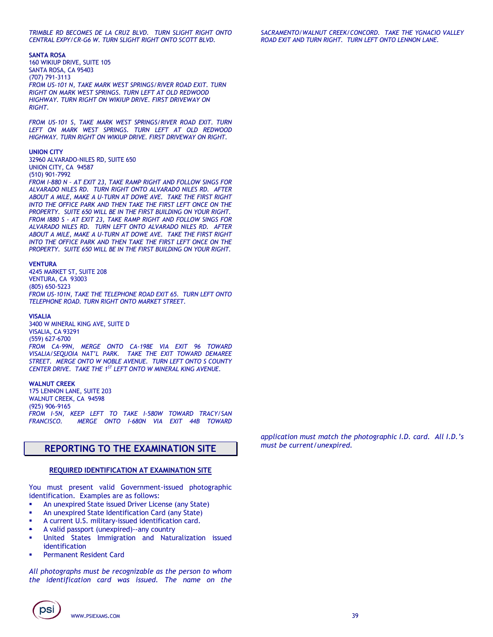**SANTA ROSA**

160 WIKIUP DRIVE, SUITE 105 SANTA ROSA, CA 95403 (707) 791-3113 *FROM US-101 N, TAKE MARK WEST SPRINGS/RIVER ROAD EXIT. TURN RIGHT ON MARK WEST SPRINGS. TURN LEFT AT OLD REDWOOD HIGHWAY. TURN RIGHT ON WIKIUP DRIVE. FIRST DRIVEWAY ON RIGHT.* 

*FROM US-101 S, TAKE MARK WEST SPRINGS/RIVER ROAD EXIT. TURN LEFT ON MARK WEST SPRINGS. TURN LEFT AT OLD REDWOOD HIGHWAY. TURN RIGHT ON WIKIUP DRIVE. FIRST DRIVEWAY ON RIGHT.*

#### **UNION CITY**

32960 ALVARADO-NILES RD, SUITE 650 UNION CITY, CA 94587 (510) 901-7992

*FROM I-880 N – AT EXIT 23, TAKE RAMP RIGHT AND FOLLOW SINGS FOR ALVARADO NILES RD. TURN RIGHT ONTO ALVARADO NILES RD. AFTER ABOUT A MILE, MAKE A U-TURN AT DOWE AVE. TAKE THE FIRST RIGHT INTO THE OFFICE PARK AND THEN TAKE THE FIRST LEFT ONCE ON THE PROPERTY. SUITE 650 WILL BE IN THE FIRST BUILDING ON YOUR RIGHT. FROM I880 S - AT EXIT 23, TAKE RAMP RIGHT AND FOLLOW SINGS FOR ALVARADO NILES RD. TURN LEFT ONTO ALVARADO NILES RD. AFTER ABOUT A MILE, MAKE A U-TURN AT DOWE AVE. TAKE THE FIRST RIGHT INTO THE OFFICE PARK AND THEN TAKE THE FIRST LEFT ONCE ON THE PROPERTY. SUITE 650 WILL BE IN THE FIRST BUILDING ON YOUR RIGHT.*

#### **VENTURA**

4245 MARKET ST, SUITE 208 VENTURA, CA 93003 (805) 650-5223 *FROM US-101N, TAKE THE TELEPHONE ROAD EXIT 65. TURN LEFT ONTO TELEPHONE ROAD. TURN RIGHT ONTO MARKET STREET.*

#### **VISALIA**

3400 W MINERAL KING AVE, SUITE D VISALIA, CA 93291 (559) 627-6700 *FROM CA-99N, MERGE ONTO CA-198E VIA EXIT 96 TOWARD VISALIA/SEQUOIA NAT'L PARK. TAKE THE EXIT TOWARD DEMAREE STREET. MERGE ONTO W NOBLE AVENUE. TURN LEFT ONTO S COUNTY CENTER DRIVE. TAKE THE 1ST LEFT ONTO W MINERAL KING AVENUE.*

#### **WALNUT CREEK**

175 LENNON LANE, SUITE 203 WALNUT CREEK, CA 94598 (925) 906-9165 *FROM I-5N, KEEP LEFT TO TAKE I-580W TOWARD TRACY/SAN FRANCISCO. MERGE ONTO I-680N VIA EXIT 44B TOWARD* 

### **REPORTING TO THE EXAMINATION SITE**

#### **REQUIRED IDENTIFICATION AT EXAMINATION SITE**

You must present valid Government-issued photographic identification. Examples are as follows:

- An unexpired State issued Driver License (any State)
- An unexpired State Identification Card (any State)
- A current U.S. military-issued identification card.
- A valid passport (unexpired)--any country
- United States Immigration and Naturalization issued identification
- Permanent Resident Card

*All photographs must be recognizable as the person to whom the identification card was issued. The name on the* 

*application must match the photographic I.D. card. All I.D.'s must be current/unexpired.*